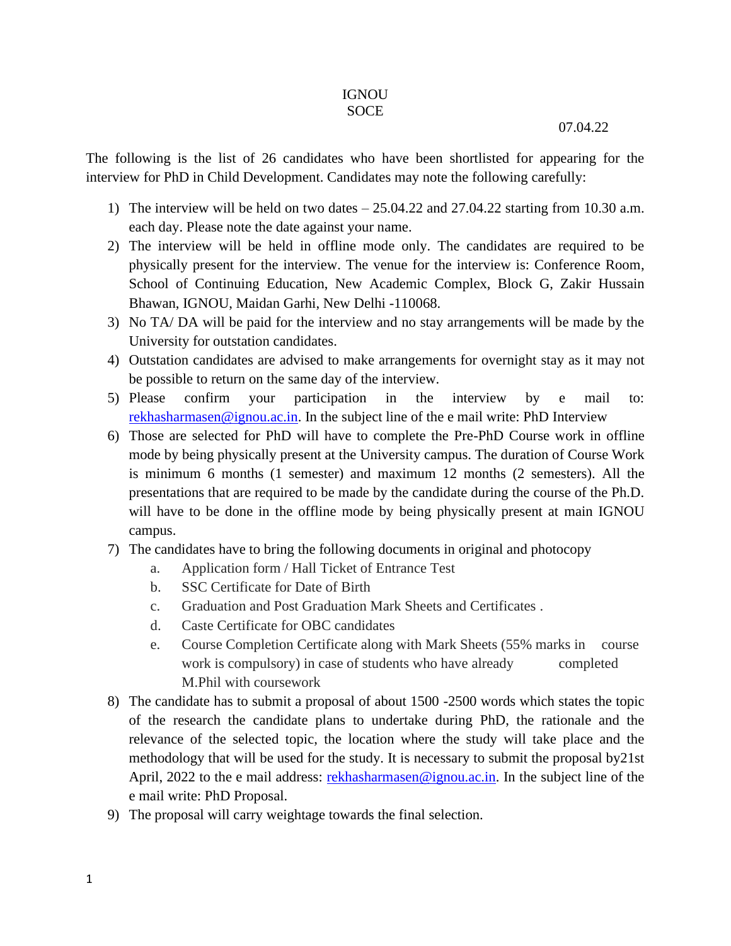## **IGNOU** SOCE

## 07.04.22

The following is the list of 26 candidates who have been shortlisted for appearing for the interview for PhD in Child Development. Candidates may note the following carefully:

- 1) The interview will be held on two dates 25.04.22 and 27.04.22 starting from 10.30 a.m. each day. Please note the date against your name.
- 2) The interview will be held in offline mode only. The candidates are required to be physically present for the interview. The venue for the interview is: Conference Room, School of Continuing Education, New Academic Complex, Block G, Zakir Hussain Bhawan, IGNOU, Maidan Garhi, New Delhi -110068.
- 3) No TA/ DA will be paid for the interview and no stay arrangements will be made by the University for outstation candidates.
- 4) Outstation candidates are advised to make arrangements for overnight stay as it may not be possible to return on the same day of the interview.
- 5) Please confirm your participation in the interview by e mail to: [rekhasharmasen@ignou.ac.in.](mailto:rekhasharmasen@ignou.ac.in) In the subject line of the e mail write: PhD Interview
- 6) Those are selected for PhD will have to complete the Pre-PhD Course work in offline mode by being physically present at the University campus. The duration of Course Work is minimum 6 months (1 semester) and maximum 12 months (2 semesters). All the presentations that are required to be made by the candidate during the course of the Ph.D. will have to be done in the offline mode by being physically present at main IGNOU campus.
- 7) The candidates have to bring the following documents in original and photocopy
	- a. Application form / Hall Ticket of Entrance Test
	- b. SSC Certificate for Date of Birth
	- c. Graduation and Post Graduation Mark Sheets and Certificates .
	- d. Caste Certificate for OBC candidates
	- e. Course Completion Certificate along with Mark Sheets (55% marks in course work is compulsory) in case of students who have already completed M.Phil with coursework
- 8) The candidate has to submit a proposal of about 1500 -2500 words which states the topic of the research the candidate plans to undertake during PhD, the rationale and the relevance of the selected topic, the location where the study will take place and the methodology that will be used for the study. It is necessary to submit the proposal by21st April, 2022 to the e mail address: [rekhasharmasen@ignou.ac.in.](mailto:rekhasharmasen@ignou.ac.in) In the subject line of the e mail write: PhD Proposal.
- 9) The proposal will carry weightage towards the final selection.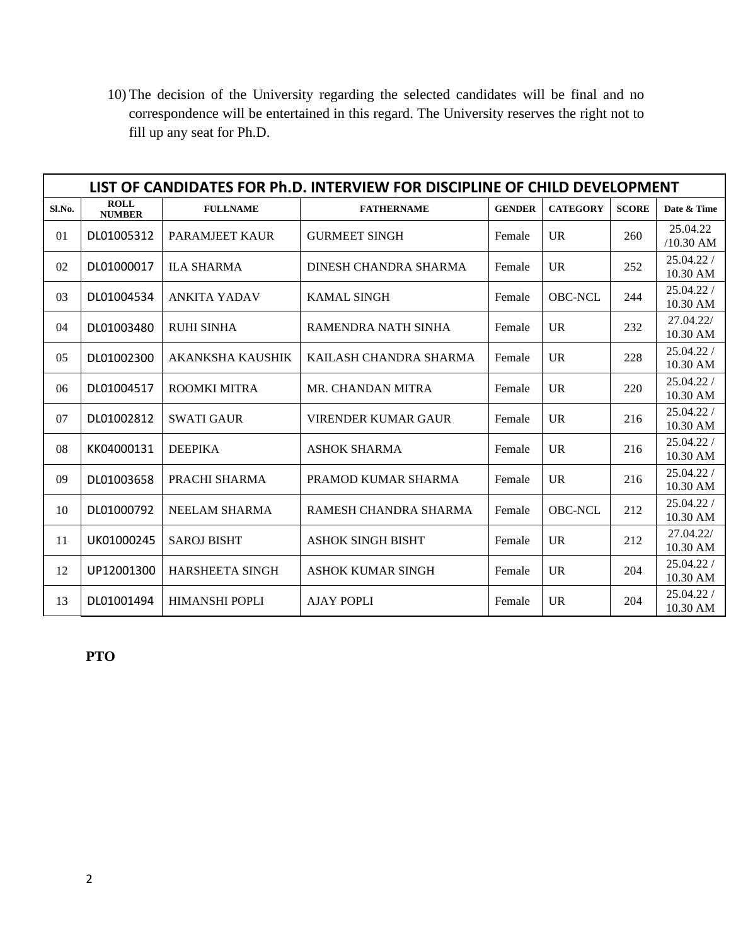10) The decision of the University regarding the selected candidates will be final and no correspondence will be entertained in this regard. The University reserves the right not to fill up any seat for Ph.D.

| LIST OF CANDIDATES FOR Ph.D. INTERVIEW FOR DISCIPLINE OF CHILD DEVELOPMENT |                              |                         |                            |               |                 |              |                          |  |  |  |  |
|----------------------------------------------------------------------------|------------------------------|-------------------------|----------------------------|---------------|-----------------|--------------|--------------------------|--|--|--|--|
| Sl.No.                                                                     | <b>ROLL</b><br><b>NUMBER</b> | <b>FULLNAME</b>         | <b>FATHERNAME</b>          | <b>GENDER</b> | <b>CATEGORY</b> | <b>SCORE</b> | Date & Time              |  |  |  |  |
| 01                                                                         | DL01005312                   | <b>PARAMJEET KAUR</b>   | <b>GURMEET SINGH</b>       | Female        | <b>UR</b>       | 260          | 25.04.22<br>$/10.30$ AM  |  |  |  |  |
| 02                                                                         | DL01000017                   | <b>ILA SHARMA</b>       | DINESH CHANDRA SHARMA      | Female        | <b>UR</b>       | 252          | 25.04.22/<br>10.30 AM    |  |  |  |  |
| 03                                                                         | DL01004534                   | <b>ANKITA YADAV</b>     | <b>KAMAL SINGH</b>         | Female        | <b>OBC-NCL</b>  | 244          | 25.04.22/<br>10.30 AM    |  |  |  |  |
| 04                                                                         | DL01003480                   | <b>RUHI SINHA</b>       | RAMENDRA NATH SINHA        | Female        | $_{\text{UR}}$  | 232          | 27.04.22/<br>10.30 AM    |  |  |  |  |
| 05                                                                         | DL01002300                   | <b>AKANKSHA KAUSHIK</b> | KAILASH CHANDRA SHARMA     | Female        | <b>UR</b>       | 228          | 25.04.22 /<br>10.30 AM   |  |  |  |  |
| 06                                                                         | DL01004517                   | <b>ROOMKI MITRA</b>     | MR. CHANDAN MITRA          | Female        | UR              | 220          | 25.04.22/<br>10.30 AM    |  |  |  |  |
| 07                                                                         | DL01002812                   | <b>SWATI GAUR</b>       | <b>VIRENDER KUMAR GAUR</b> | Female        | <b>UR</b>       | 216          | 25.04.22 /<br>10.30 AM   |  |  |  |  |
| 08                                                                         | KK04000131                   | <b>DEEPIKA</b>          | <b>ASHOK SHARMA</b>        | Female        | <b>UR</b>       | 216          | 25.04.22/<br>10.30 AM    |  |  |  |  |
| 09                                                                         | DL01003658                   | PRACHI SHARMA           | PRAMOD KUMAR SHARMA        | Female        | $_{\text{UR}}$  | 216          | 25.04.22/<br>10.30 AM    |  |  |  |  |
| 10                                                                         | DL01000792                   | <b>NEELAM SHARMA</b>    | RAMESH CHANDRA SHARMA      | Female        | <b>OBC-NCL</b>  | 212          | 25.04.22 /<br>10.30 AM   |  |  |  |  |
| 11                                                                         | UK01000245                   | <b>SAROJ BISHT</b>      | <b>ASHOK SINGH BISHT</b>   | Female        | <b>UR</b>       | 212          | 27.04.22/<br>10.30 AM    |  |  |  |  |
| 12                                                                         | UP12001300                   | <b>HARSHEETA SINGH</b>  | <b>ASHOK KUMAR SINGH</b>   | Female        | <b>UR</b>       | 204          | 25.04.22 /<br>10.30 AM   |  |  |  |  |
| 13                                                                         | DL01001494                   | HIMANSHI POPLI          | <b>AJAY POPLI</b>          | Female        | $_{\text{UR}}$  | 204          | 25.04.22 /<br>$10.30$ AM |  |  |  |  |

**PTO**